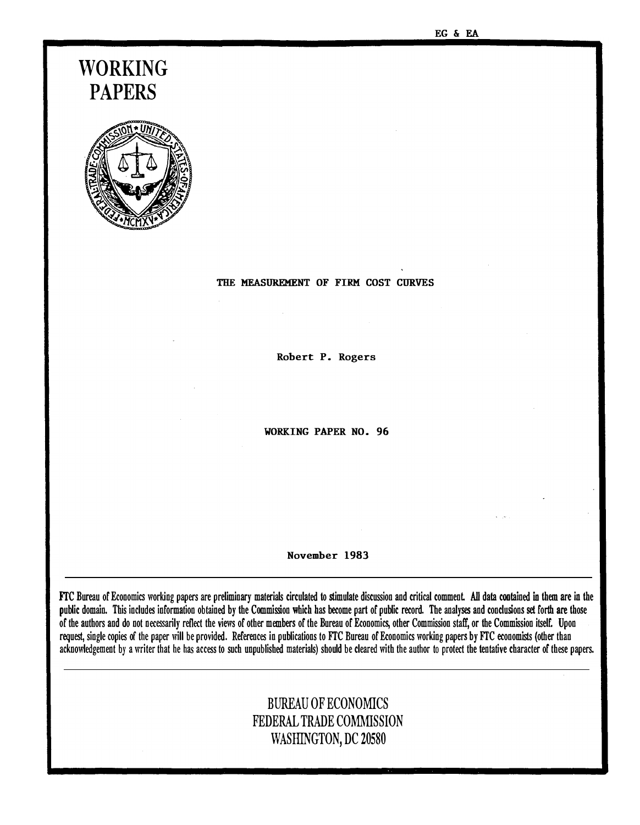# WORKING PAPERS



#### THE MEASUREMENT OF FIRM COST CURVES

Robert P. Rogers

WORKING PAPER NO. 96

November 1983

FTC Bureau of Economics working papers are preliminary materials circulated to stimulate discussion and critical comment. All data contained in them are in the public domain. This includes information obtained by the Commission which has become part of public record. The analyses and conclusions set forth are those of the authors and do not necessarily reflect the views of other members of the Bureau of Economics, other Commission staff, or the Commission itself. Upon request, single copies of the paper will be provided. References in publications to FTC Bureau of Economics working papers by FTC economists (other than acknowledgement by a writer that he has access to such unpublished materials) should be cleared with the author to protect the tentative character of these papers.

### BUREAU OF ECONOMICS FEDERAL TRADE COMMISSION WASHINGTON, DC 20580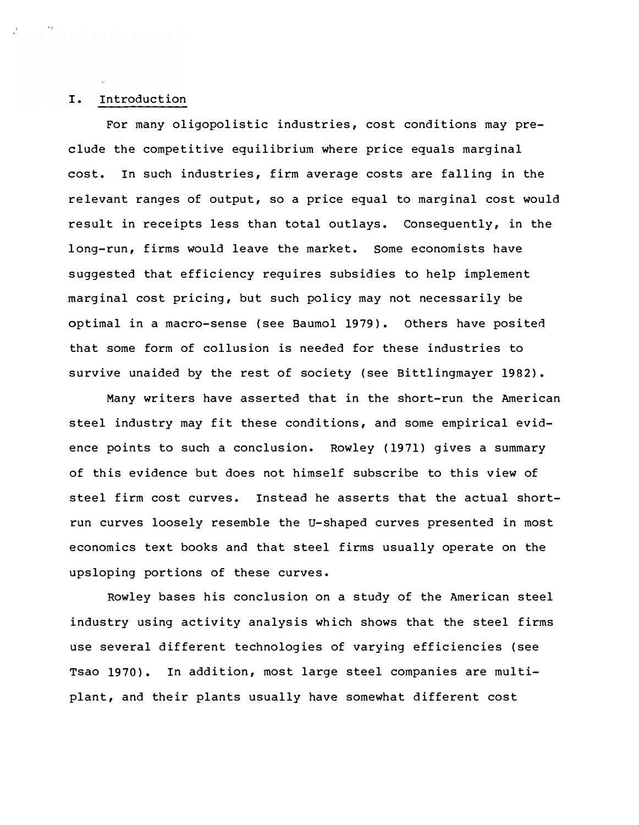### I. Introduction

For many oligopolistic industries, cost conditions may preclude the competitive equilibrium where price equals marginal cost. In such industries, firm average costs are falling in the relevant ranges of output, so a price equal to marginal cost would result in receipts less than total outlays. Consequently, in the long-run, firms would leave the market. some economists have suggested that efficiency requires subsidies to help implement marginal cost pricing, but such policy may not necessarily be optimal in a macro-sense (see Baumol 1979). Others have posited that some form of collusion is needed for these industries to survive unaided by the rest of society (see Bittlingmayer 1982).

Many writers have asserted that in the short-run the American steel industry may fit these conditions, and some empirical evidence points to such a conclusion. Rowley (1971) gives a summary of this evidence but does not himself subscribe to this view of steel firm cost curves. Instead he asserts that the actual shortrun curves loosely resemble the u-shaped curves presented in most economics text books and that steel firms usually operate on the upsloping portions of these curves .

Rowley bases his conclusion on a study of the American steel industry using activity analysis which shows that the steel firms use several different technologies of varying efficiencies (see Tsao 1970). In addition, most large steel companies are multiplant, and their plants usually have somewhat different cost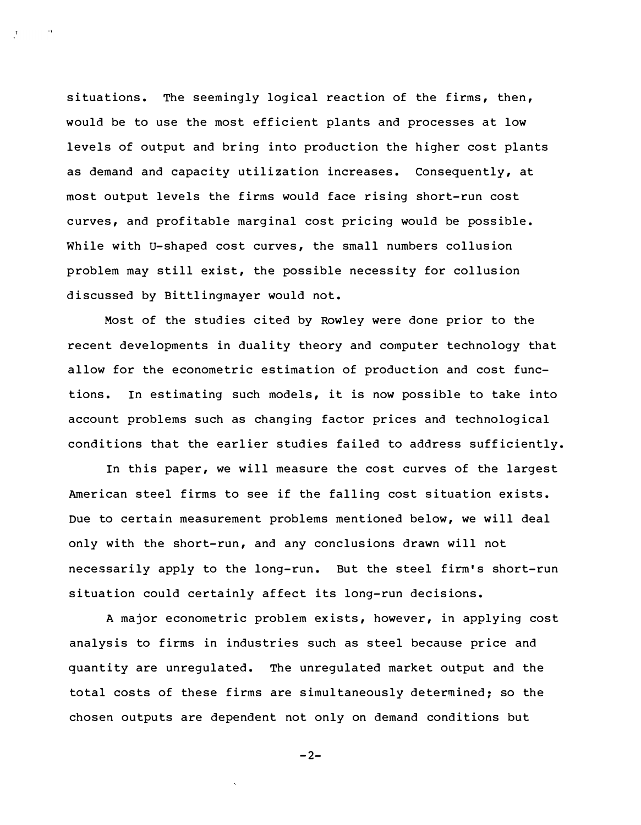situations. The seemingly logical reaction of the firms, then, would be to use the most efficient plants and processes at low levels of output and bring into production the higher cost plants as demand and capacity utilization increases. Consequently, at most output levels the firms would face rising short-run cost curves, and profitable marginal cost pricing would be possible. While with U-shaped cost curves, the small numbers collusion problem may still exist, the possible necessity for collusion discussed by Bittlingmayer would not.

Most of the studies cited by Rowley were done prior to the recent developments in duality theory and computer technology that allow for the econometric estimation of production and cost functions. In estimating such models, it is now possible to take into account problems such as changing factor prices and technological conditions that the earlier studies failed to address sufficiently.

In this paper, we will measure the cost curves of the largest American steel firms to see if the falling cost situation exists. Due to certain measurement problems mentioned below, we will deal only with the short-run, and any conclusions drawn will not necessarily apply to the long-run. But the steel firm's short-run situation could certainly af fect its long-run decisions.

A major econometric problem exists, however, in applying cost analysis to firms in industries such as steel because price and quantity are unregulated. The unregulated market output and the total costs of these firms are simultaneously determined; so the chosen outputs are dependent not only on demand conditions but

$$
-2-
$$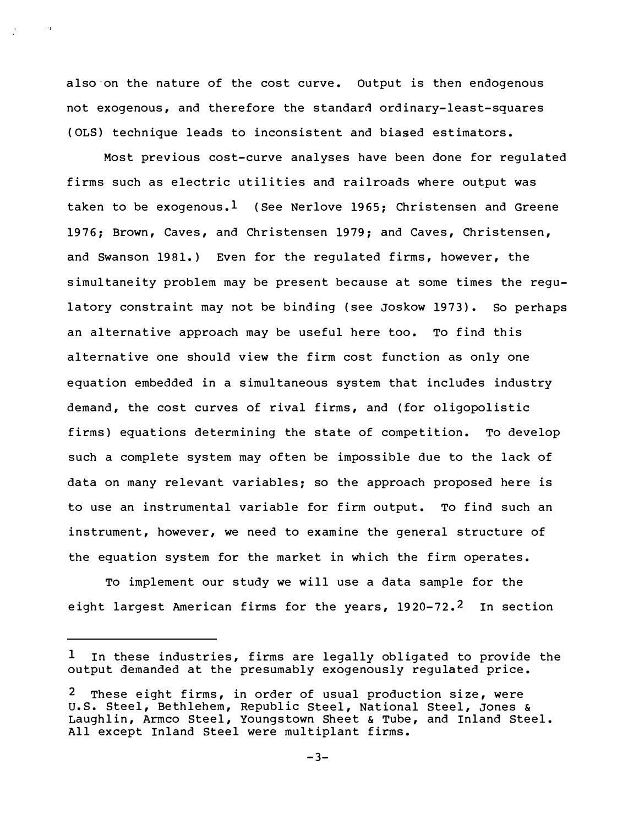also·on the nature of the cost curve. Output is then endogenous not exogenous, and therefore the standard ordinary-least-squares ( OLS) technique leads to inconsistent and biased estimators.

 $\rightarrow$ 

Most previous cost-curve analyses have been done for regulated firms such as electric utilities and railroads where output was taken to be exogenous.<sup>1</sup> (See Nerlove 1965; Christensen and Greene 1976; Brown, Caves, and Christensen 1979; and Caves, Christensen, and Swanson 1981. ) Even for the regulated firms, however, the simultaneity problem may be present because at some times the regulatory constraint may not be binding (see Joskow 1973). So perhaps an alternative approach may be useful here too. To find this alternative one should view the firm cost function as only one equation embedded in a simultaneous system that includes industry demand, the cost curves of rival firms, and (for oligopolistic firms) equations determining the state of competition. To develop such a complete system may often be impossible due to the lack of data on many relevant variables; so the approach proposed here is to use an instrumental variable for firm output. To find such an instrument, however, we need to examine the general structure of the equation system for the market in which the firm operates.

To implement our study we will use a data sample for the eight largest American firms for the years,  $1920-72.2$  In section

 $1$  In these industries, firms are legally obligated to provide the output demanded at the presumably exogenously regulated price.

 $2$  These eight firms, in order of usual production size, were u.s. Steel, Bethlehem, Republic Steel, National Steel, Jones & Laughlin, Armco Steel, Youngstown Sheet & Tube, and Inland Steel. All except Inland Steel were multiplant firms.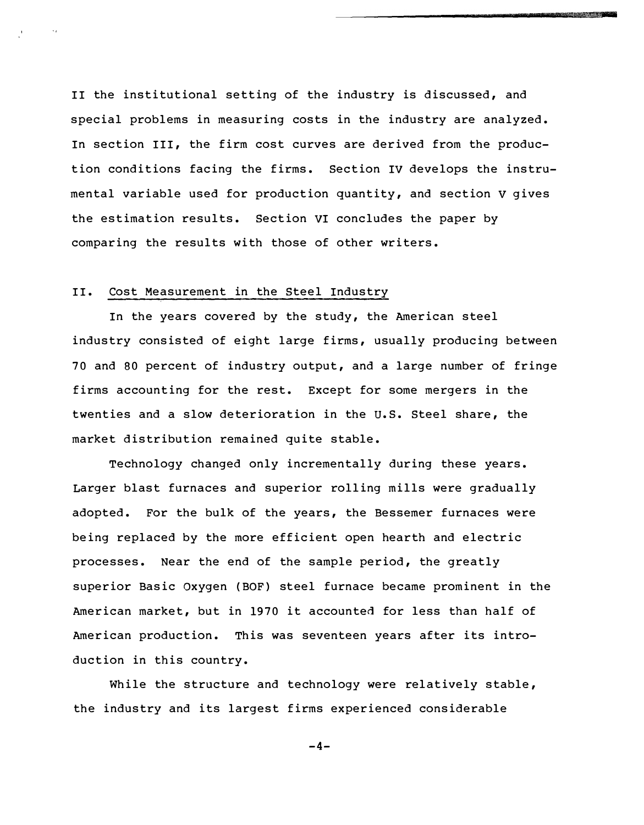II the institutional setting of the industry is discussed, and special problems in measuring costs in the industry are analyzed. In section III, the firm cost curves are derived from the production conditions facing the firms. Section IV develops the instrumental variable used for production quantity, and section v gives the estimation results. Section VI concludes the paper by comparing the results with those of other writers.

#### II. Cost Measurement in the Steel Industry

In the years covered by the study, the American steel industry consisted of eight large firms, usually producing between 70 and 80 percent of industry output, and a large number of fringe firms accounting for the rest. Except for some mergers in the twenties and a slow deterioration in the u.s. Steel share, the market distribution remained quite stable.

Technology changed only incrementally during these years. Larger blast furnaces and superior rolling mills were gradually adopted. For the bulk of the years, the Bessemer furnaces were being replaced by the more efficient open hearth and electric processes. Near the end of the sample period, the greatly superior Basic Oxygen (BOF) steel furnace became prominent in the American market, but in 1970 it accounted for less than half of American production. This was seventeen years after its introduction in this country.

While the structure and technology were relatively stable, the industry and its largest firms experienced considerable

-4-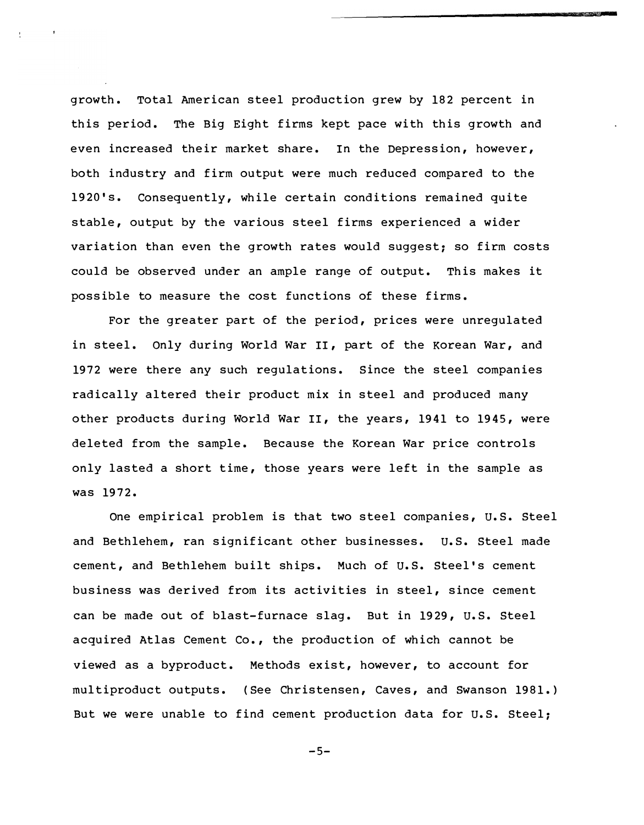growth. Total American steel production grew by 182 percent in this period. The Big Eight firms kept pace with this growth and even increased their market share. In the Depression, however, both industry and firm output were much reduced compared to the 1920's. Consequently, while certain conditions remained quite stable, output by the various steel firms experienced a wider variation than even the growth rates would suggest; so firm costs could be observed under an ample range of output. This makes it possible to measure the cost functions of these firms.

For the greater part of the period, prices were unregulated in steel. Only during World War II, part of the Korean War, and 1972 were there any such regulations. Since the steel companies radically altered their product mix in steel and produced many other products during World War II, the years, 1941 to 1945, were deleted from the sample. Because the Korean War price controls only lasted a short time, those years were left in the sample as was 1972.

One empirical problem is that two steel companies, U.S. Steel and Bethlehem, ran significant other businesses. U.S. Steel made cement, and Bethlehem built ships. Much of u.s. Steel's cement business was derived from its activities in steel, since cement can be made out of blast-furnace slag. But in 1929, u.s. Steel acquired Atlas Cement Co., the production of which cannot be viewed as a byproduct. Methods exist, however, to account for multiproduct outputs. (See Christensen, Caves, and Swanson 1981. ) But we were unable to find cement production data for U.S. Steel;

 $-5-$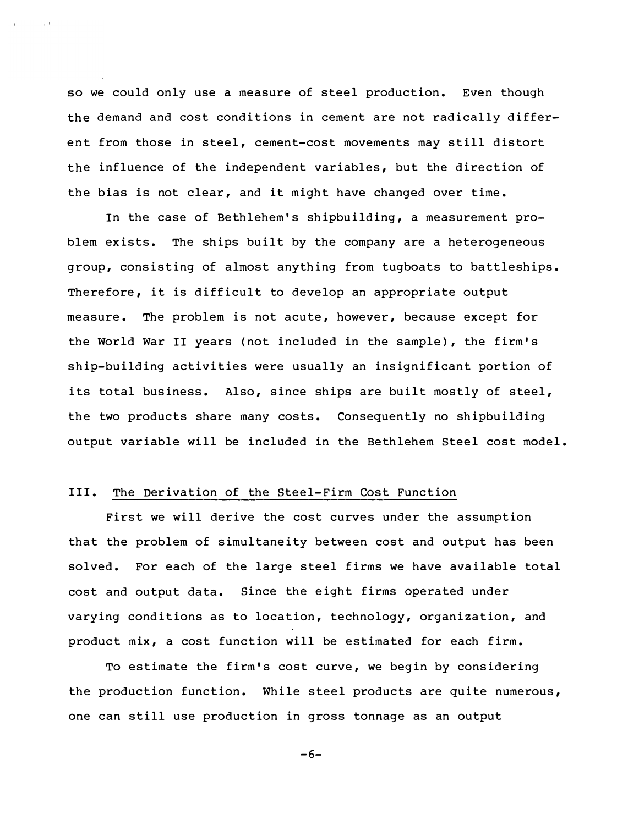so we could only use a measure of steel production. Even though the demand and cost conditions in cement are not radically different from those in steel, cement-cost movements may still distort the influence of the independent variables, but the direction of the bias is not clear, and it might have changed over time.

In the case of Bethlehem's shipbuilding, a measurement problem exists. The ships built by the company are a heterogeneous group, consisting of almost anything from tugboats to battleships. Therefore, it is difficult to develop an appropriate output measure. The problem is not acute, however, because except for the World War II years (not included in the sample), the firm's ship-building activities were usually an insignificant portion of its total business. Also, since ships are built mostly of steel, the two products share many costs. Consequently no shipbuilding output variable will be included in the Bethlehem Steel cost model.

### III. The Derivation of the Steel-Firm Cost Function

First we will derive the cost curves under the assumption that the problem of simultaneity between cost and output has been solved. For each of the large steel firms we have available total cost and output data. Since the eight firms operated under varying conditions as to location, technology, organization, and product mix, a cost function will be estimated for each firm.

To estimate the firm's cost curve, we begin by considering the production function. While steel products are quite numerous, one can still use production in gross tonnage as an output

 $-6-$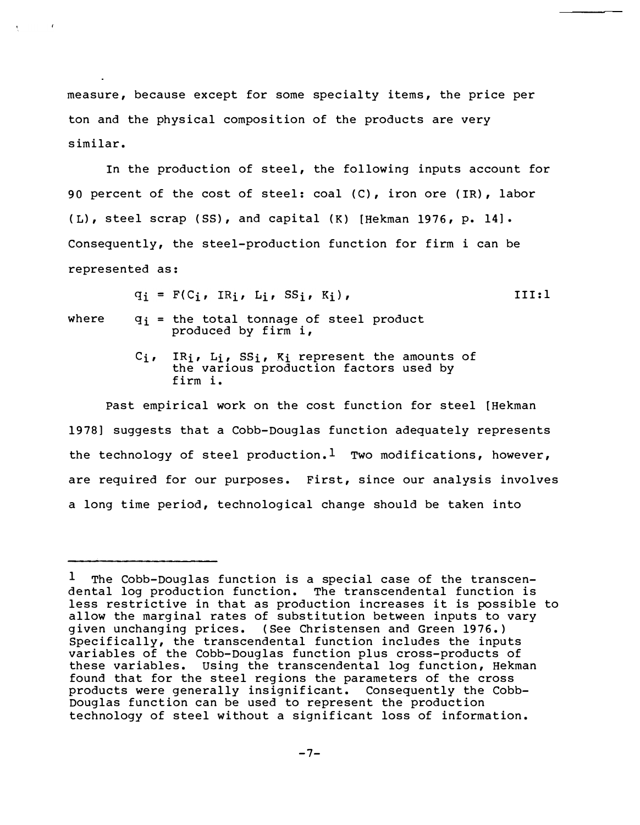measure, because except for some specialty items, the price per ton and the physical composition of the products are very similar.

In the production of steel, the following inputs account for 90 percent of the cost of steel: coal (C), iron ore (IR), labor ( L), steel scrap (SS), and capital (K) [Hekman 1976, p. 14]. Consequently, the steel-production function for firm i can be represented as:

 $q_i = F(C_i, IR_i, L_i, SS_i, K_i),$ II I:l

where  $q_i$  = the total tonnage of steel product produced by firm i,

> Ci, IRi, Li, SSi, Ki represent the amounts of the various production factors used by firm i.

Past empirical work on the cost function for steel [Hekman 1978] suggests that a Cobb-Douglas function adequately represents the technology of steel production.<sup>1</sup> Two modifications, however, are required for our purposes. First, since our analysis involves a long time period, technological change should be taken into

 $1$  The Cobb-Douglas function is a special case of the transcendental log production function. The transcendental function is less restrictive in that as production increases it is possible to allow the marginal rates of substitution between inputs to vary given unchanging prices. (See Christensen and Green 1976. ) Specifically, the transcendental function includes the inputs variables of the Cobb-Douglas function plus cross-products of these variables. using the transcendental log function, Hekman found that for the steel regions the parameters of the cross products were generally insignificant. Consequently the Cobb-Douglas function can be used to represent the production technology of steel without a significant loss of information.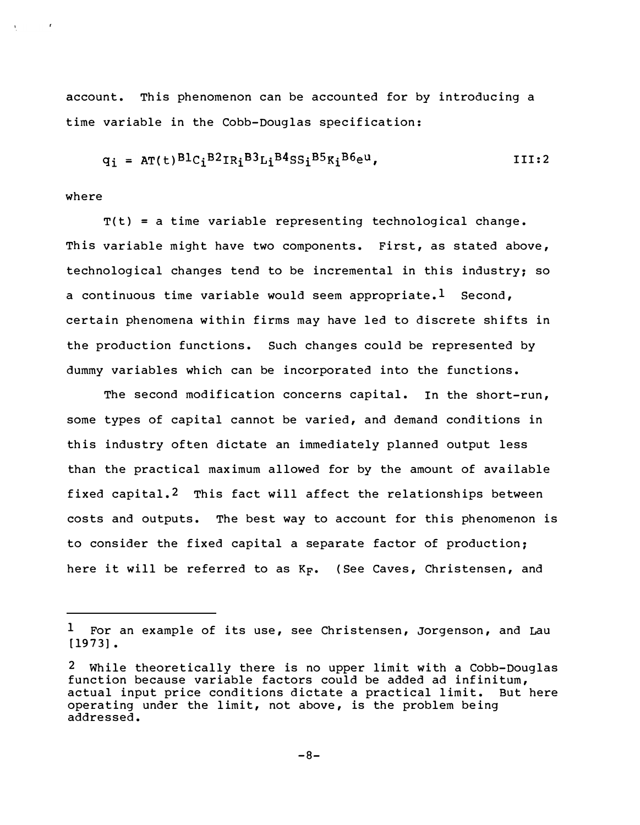account. This phenomenon can be accounted for by introducing a time variable in the Cobb-Douglas specification:

$$
q_i = AT(t)^{B1}C_i^{B2}IR_i^{B3}Li^{B4}SS_i^{B5}K_i^{B6}e^u, \qquad III:2
$$

where

 $T(t)$  = a time variable representing technological change. This variable might have two components. First, as stated above, technological changes tend to be incremental in this industry; so a continuous time variable would seem appropriate.<sup>1</sup> Second, certain phenomena within firms may have led to discrete shifts in the production functions. Such changes could be represented by dummy variables which can be incorporated into the functions.

The second modification concerns capital. In the short-run, some types of capital cannot be varied, and demand conditions in this industry often dictate an immediately planned output less than the practical maximum allowed for by the amount of available fixed capital.<sup>2</sup> This fact will affect the relationships between costs and outputs. The best way to account for this phenomenon is to consider the fixed capital a separate factor of production; here it will be referred to as  $K_{\mathbf{F}}$ . (See Caves, Christensen, and

 $1$  For an example of its use, see Christensen, Jorgenson, and Lau  $[1973]$ .

<sup>2</sup> While theoretically there is no upper limit with a Cobb-Douglas function because variable factors could be added ad infinitum, actual input price conditions dictate a practical limit. But here operating under the limit, not above, is the problem being addressed.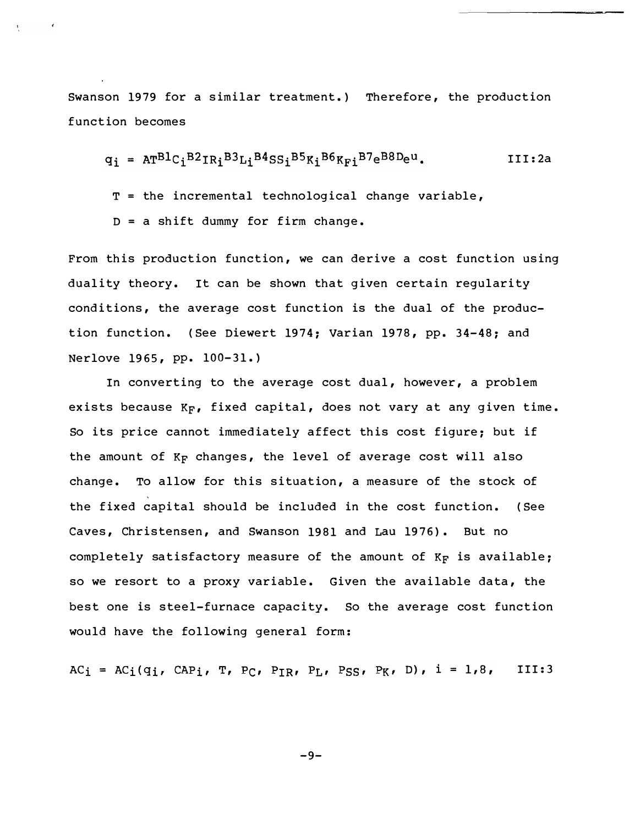Swanson 1979 for a similar treatment. ) Therefore, the production function becomes

$$
q_i = \text{AT}^{\text{BL}}\text{C}_i^{\text{B2}}\text{IR}_i^{\text{B3}}\text{L}_i^{\text{B4}}\text{SS}_i^{\text{B5}}\text{K}_i^{\text{B6}}\text{K}_{\text{F}i}^{\text{B7}}\text{e}^{\text{B8}}\text{D}\text{e}^{\text{u}}.
$$
III:2a

 $T =$  the incremental technological change variable,

D = a shift dummy for firm change.

From this production function, we can derive a cost function using duality theory. It can be shown that given certain regularity conditions, the average cost function is the dual of the production function. (See Diewert 1974; Varian 1978, pp. 34-48; and Nerlove 1965, pp. 100-31. )

In converting to the average cost dual, however, a problem exists because  $K_F$ , fixed capital, does not vary at any given time. So its price cannot immediately affect this cost figure; but if the amount of  $K_F$  changes, the level of average cost will also change. To allow for this situation, a measure of the stock of the fixed capital should be included in the cost function. (See Caves, Christensen, and Swanson 1981 and Lau 1976). But no completely satisfactory measure of the amount of  $K_F$  is available; so we resort to a proxy variable. Given the available data, the best one is steel-furnace capacity. So the average cost function would have the following general form:

 $AC_i = AC_i(q_i, CAP_i, T, PC, P_{IR}, P_L, PSS, PR, D), i = 1,8,$ III:3

-9-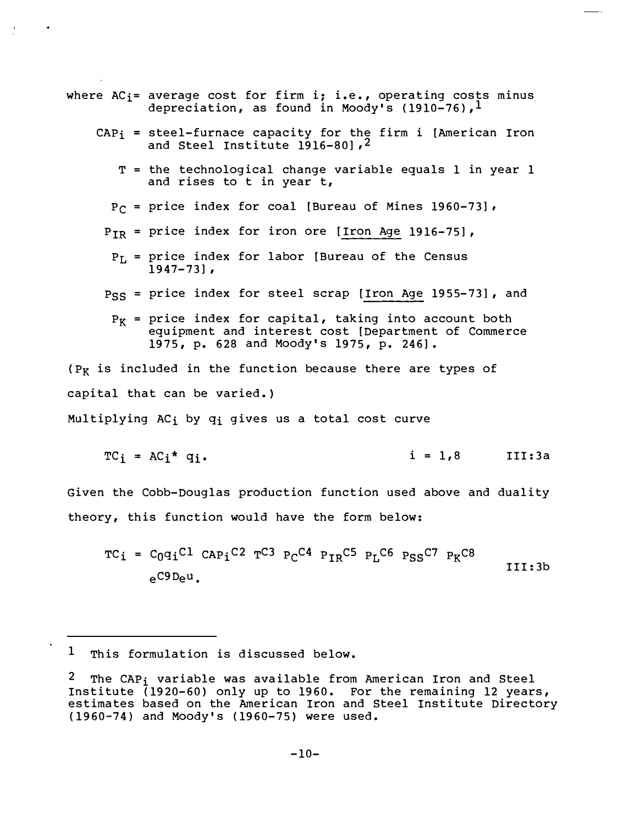- where  $AC_i$ = average cost for firm i; i.e., operating costs minus depreciation, as found in Moody's (1910-76),  $<sup>1</sup>$ </sup>
	- $CAP_i$  = steel-furnace capacity for the firm i [American Iron and Steel Institute 1916-80], 2
		- T = the technological change variable equals 1 in year 1 and rises to t in year t,
		- $P_{\Gamma}$  = price index for coal [Bureau of Mines 1960-73],
		- $P_{IR}$  = price index for iron ore  $[$  Iron Age 1916-75],
			- $P_L$  = price index for labor [Bureau of the Census  $1947 - 73$ ],
		- $_{\rm PSS}$  = price index for steel scrap [Iron Age 1955-73], and
			- $P_K$  = price index for capital, taking into account both equipment and interest cost [Department of Commerce 1975, p. 628 and Moody's 1975, p. 246].

( $P_K$  is included in the function because there are types of capital that can be varied. } Multiplying ACi by qi gives us a total cost curve

$$
TC_i = AC_i * q_i.
$$
   
  $i = 1,8$  III:3a

Given the Cobb-Douglas production function used above and duality theory, this function would have the form below:

 $TC_i = C_0q_iC_1 C_{APi}C_2 T_{C3} P_C C_4 P_{TR} C_5 P_L C_6 P_{SS} C_7 P_K C_8$ III: 3b eC9Deu.

<sup>&</sup>lt;sup>1</sup> This formulation is discussed below.

The CAP<sub>i</sub> variable was available from American Iron and Steel Institute (1920-60} only up to 1960. For the remaining 12 years, estimates based on the American Iron and Steel Institute Directory (1 960-74} and Moody's (1960-75} were used.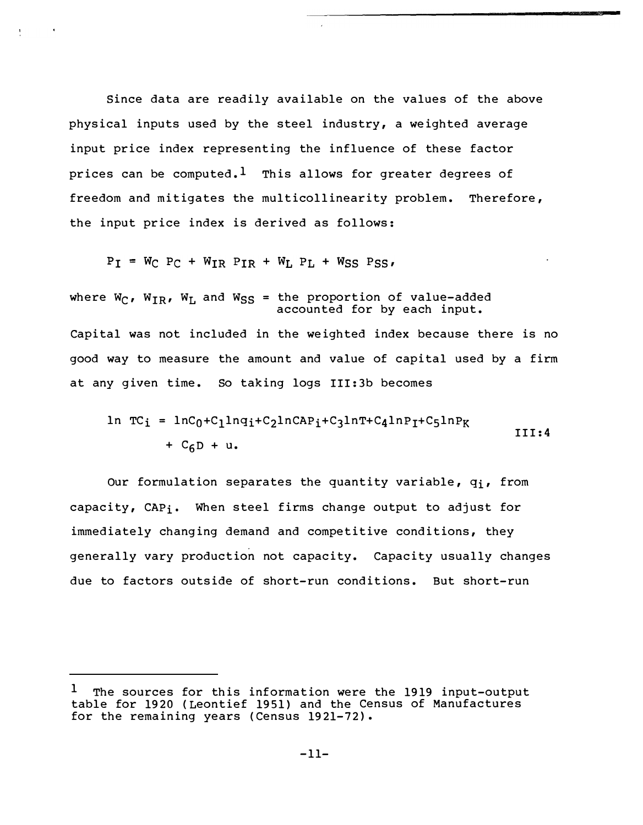Since data are readily available on the values of the above physical inputs used by the steel industry, a weighted average input price index representing the influence of these factor prices can be computed.<sup>1</sup> This allows for greater degrees of freedom and mitigates the multicollinearity problem. Therefore, the input price index is derived as follows:

 $P_I = W_C P_C + W_{IR} P_{IR} + W_L P_L + W_{SS} P_{SS}$ 

where W<sub>C</sub>, W<sub>IR</sub>, W<sub>L</sub> and W<sub>SS</sub> = the proportion of value-added accounted for by each input. Capital was not included in the weighted index because there is no good way to measure the amount and value of capital used by a firm at any given time. So taking logs III: 3b becomes

$$
\begin{aligned}\n\ln TC_i &= \ln C_0 + C_1 \ln q_i + C_2 \ln C \text{AP}_i + C_3 \ln T + C_4 \ln P_i + C_5 \ln P_K \\
&\quad + C_6 \ln P_i + \text{Q}_i\n\end{aligned}
$$

Our formulation separates the quantity variable, q<sub>i</sub>, from capacity, CAP<sub>i</sub>. When steel firms change output to adjust for immediately changing demand and competitive conditions, they generally vary production not capacity. Capacity usually changes due to factors outside of short-run conditions. But short-run

<sup>&</sup>lt;sup>1</sup> The sources for this information were the 1919 input-output table for 1920 (Leontief 1951} and the Census of Manufactures for the remaining years (Census 1921-72}.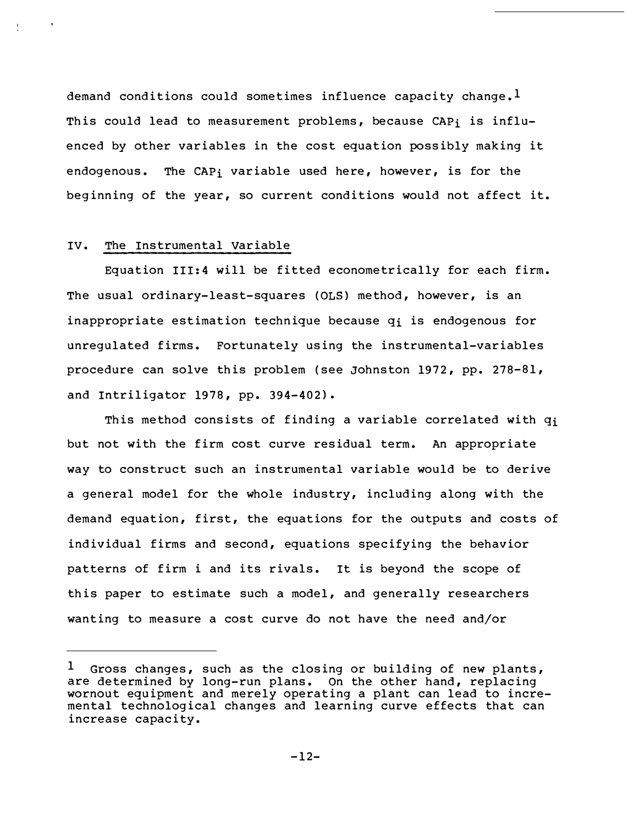demand conditions could sometimes influence capacity change.<sup>1</sup> This could lead to measurement problems, because CAP<sub>i</sub> is influenced by other variables in the cost equation possibly making it endogenous. The CAPi variable used here, however, is for the beginning of the year, so current conditions would not affect it.

#### IV. The Instrumental variable

Equation III:4 will be fitted econometrically for each firm. The usual ordinary-least-squares (OLS) method, however, is an inappropriate estimation technique because  $q_i$  is endogenous for unregulated firms. Fortunately using the instrumental-variables procedure can solve this problem (see Johnston 1972, pp. 278-81, and Intriligator 1978, pp. 394-402).

This method consists of finding a variable correlated with q<sub>i</sub> but not with the firm cost curve residual term. An appropriate way to construct such an instrumental variable would be to derive a general model for the whole industry, including along with the demand equation, first, the equations for the outputs and costs of individual firms and second, equations specifying the behavior patterns of firm i and its rivals. It is beyond the scope of this paper to estimate such a model, and generally researchers wanting to measure a cost curve do not have the need and/or

<sup>1</sup> Gross changes, such as the closing or building of new plants, are determined by long-run plans. On the other hand, replacing wornout equipment and merely operating a plant can lead to incremental technological changes and learning curve effects that can increase capacity.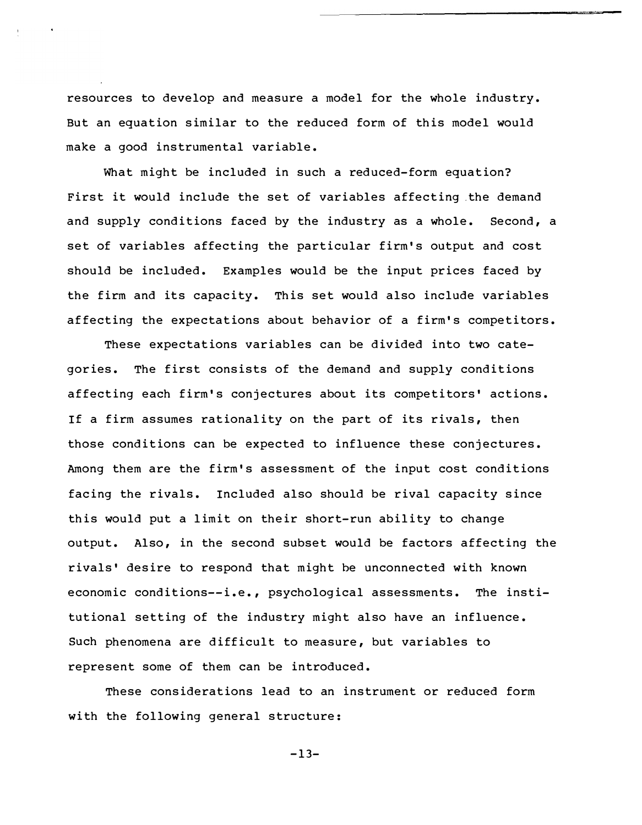resources to develop and measure a model for the whole industry. But an equation similar to the reduced form of this model would make a good instrumental variable.

What might be included in such a reduced-form equation? First it would include the set of variables affecting .the demand and supply conditions faced by the industry as a whole. Second, a set of variables affecting the particular firm's output and cost should be included. Examples would be the input prices faced by the firm and its capacity. This set would also include variables af fecting the expectations about behavior of a firm's competitors.

These expectations variables can be divided into two categories. The first consists of the demand and supply conditions affecting each firm's conjectures about its competitors' actions. If a firm assumes rationality on the part of its rivals, then those conditions can be expected to influence these conjectures. Among them are the firm's assessment of the input cost conditions facing the rivals. Included also should be rival capacity since this would put a limit on their short-run ability to change output. Also, in the second subset would be factors affecting the rivals' desire to respond that might be unconnected with known economic conditions--i.e., psychological assessments. The institutional setting of the industry might also have an influence. Such phenomena are difficult to measure, but variables to represent some of them can be introduced.

These considerations lead to an instrument or reduced form with the following general structure:

 $-13-$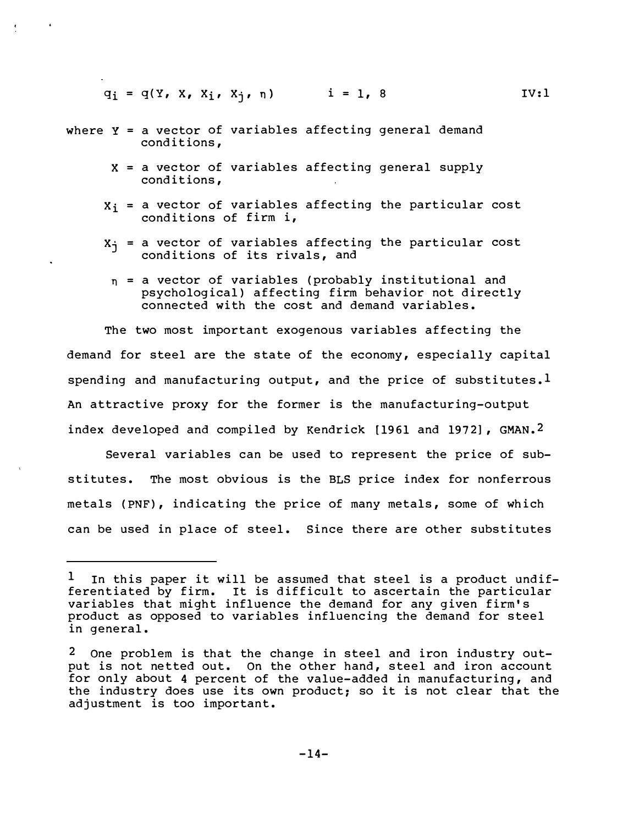$q_i = q(Y, X, X_i, X_i, \eta)$  i = 1, 8 IV:1

- where  $Y = a$  vector of variables affecting general demand conditions,
	- $X = a$  vector of variables affecting general supply conditions,
	- $X_i$  = a vector of variables affecting the particular cost conditions of firm i,
	- $x_{i}$  = a vector of variables affecting the particular cost conditions of its rivals, and
		- n = a vector of variables (probably institutional and psychological) affecting firm behavior not directly connected with the cost and demand variables.

The two most important exogenous variables affecting the demand for steel are the state of the economy, especially capital spending and manufacturing output, and the price of substitutes.<sup>1</sup> An attractive proxy for the former is the manufacturing-output index developed and compiled by Kendrick [1961 and 1972], GMAN.<sup>2</sup>

Several variables can be used to represent the price of substitutes. The most obvious is the BLS price index for nonferrous metals (PNF), indicating the price of many metals, some of which can be used in place of steel. Since there are other substitutes

 $1$  In this paper it will be assumed that steel is a product undifferentiated by firm. It is difficult to ascertain the particular variables that might influence the demand for any given firm's product as opposed to variables influencing the demand for steel in general.

<sup>2</sup> One problem is that the change in steel and iron industry output is not netted out. On the other hand, steel and iron account for only about 4 percent of the value-added in manufacturing, and the industry does use its own product; so it is not clear that the adjustment is too important.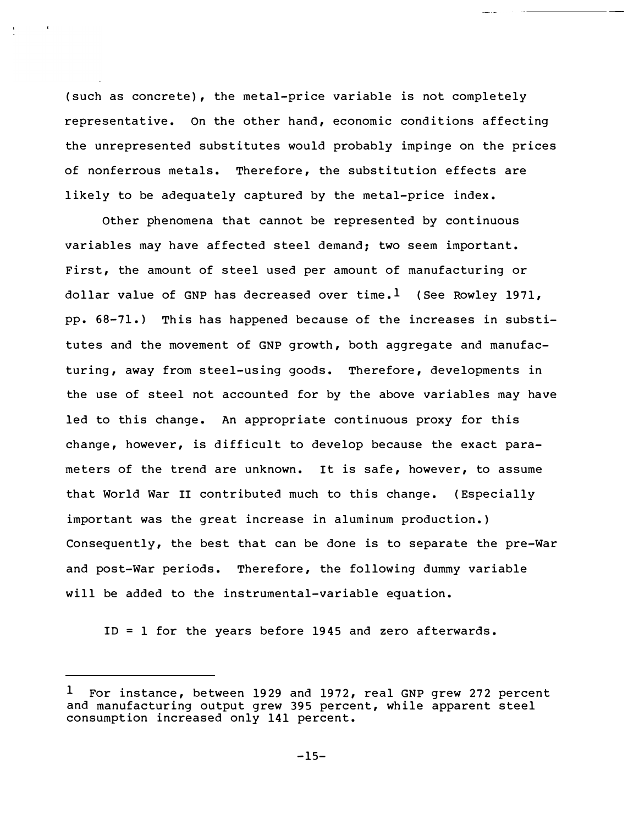(such as concrete), the metal-price variable is not completely representative. On the other hand, economic conditions affecting the unrepresented substitutes would probably impinge on the prices of nonferrous metals. Therefore, the substitution effects are likely to be adequately captured by the metal-price index.

Other phenomena that cannot be represented by continuous variables may have af fected steel demand; two seem important. First, the amount of steel used per amount of manufacturing or dollar value of GNP has decreased over time.<sup>1</sup> (See Rowley 1971, pp. 68-71 .) This has happened because of the increases in substitutes and the movement of GNP growth, both aggregate and manufacturing, away from steel-using goods. Therefore, developments in the use of steel not accounted for by the above variables may have led to this change. An appropriate continuous proxy for this change, however, is difficult to develop because the exact parameters of the trend are unknown. It is safe, however, to assume that World War II contributed much to this change. (Especially important was the great increase in aluminum production. ) Consequently, the best that can be done is to separate the pre-War and post-War periods. Therefore, the following dummy variable will be added to the instrumental-variable equation.

ID = 1 for the years before 1945 and zero afterwards.

<sup>1</sup> For instance, between 1929 and 1972, real GNP grew 272 percent and manufacturing output grew 395 percent, while apparent steel consumption increased only 141 percent.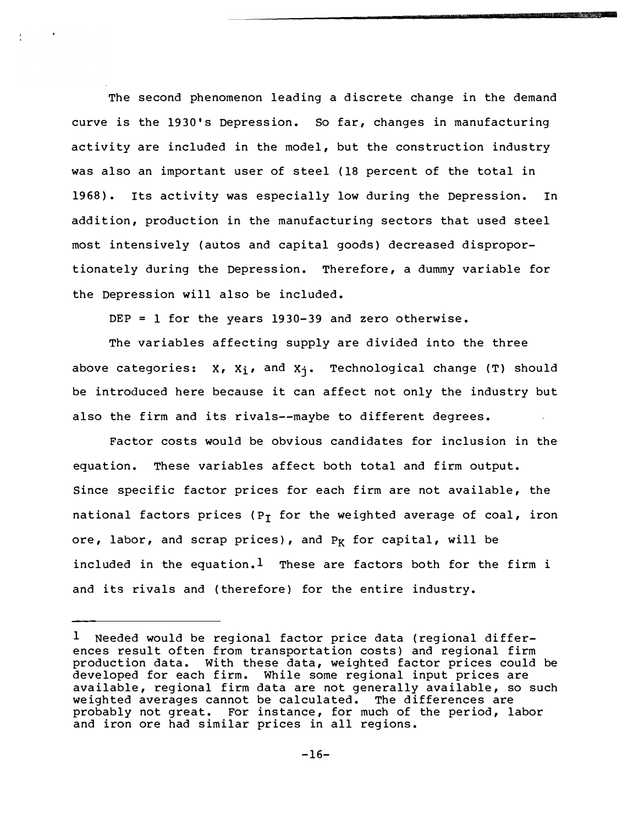The second phenomenon leading a discrete change in the demand curve is the 1930's Depression. So far, changes in manufacturing activity are included in the model, but the construction industry was also an important user of steel (18 percent of the total in 1968}. Its activity was especially low during the Depression. In addition, production in the manufacturing sectors that used steel most intensively (autos and capital goods} decreased disproportionately during the Depression. Therefore, a dummy variable for the Depression will also be included.

**The Company's Company's Company's Company's Company's Company's Company's Company's Company's Company's Company's Company's Company's Company's Company's Company's Company's Company's Company's Company's Company's Company** 

DEP = 1 for the years  $1930-39$  and zero otherwise.

The variables affecting supply are divided into the three above categories:  $X_1$ ,  $X_1$ , and  $X_1$ . Technological change (T) should be introduced here because it can affect not only the industry but also the firm and its rivals--maybe to different degrees.

Factor costs would be obvious candidates for inclusion in the equation. These variables affect both total and firm output. Since specific factor prices for each firm are not available, the national factors prices (P<sub>T</sub> for the weighted average of coal, iron ore, labor, and scrap prices), and  $P_K$  for capital, will be included in the equation.<sup>1</sup> These are factors both for the firm i and its rivals and (therefore} for the entire industry.

 $1$  Needed would be regional factor price data (regional differences result often from transportation costs) and regional firm production data. With these data, weighted factor prices could be developed for each firm. While some regional input prices are available, regional firm data are not generally available, so such weighted averages cannot be calculated. The differences are probably not great. For instance, for much of the period, labor and iron ore had similar prices in all regions.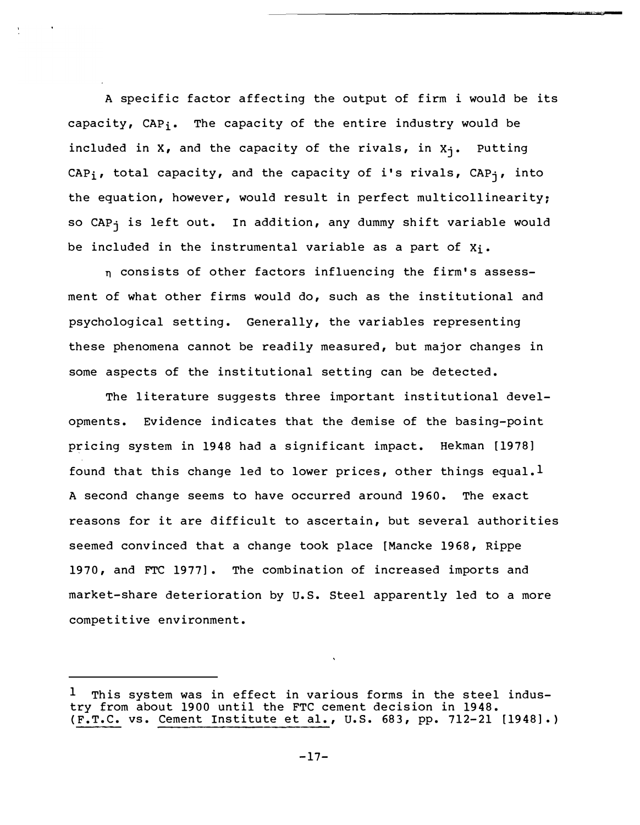A specific factor affecting the output of firm i would be its capacity, CAP<sub>i</sub>. The capacity of the entire industry would be included in  $X$ , and the capacity of the rivals, in  $X_i$ . Putting CAPi, total capacity, and the capacity of i's rivals, CAPj, into the equation, however, would result in perfect multicollinearity; so CAP<sub>j</sub> is left out. In addition, any dummy shift variable would be included in the instrumental variable as a part of  $X_i$ .

n consists of other factors influencing the firm's assessment of what other firms would do, such as the institutional and psychological setting. Generally, the variables representing these phenomena cannot be readily measured, but major changes in some aspects of the institutional setting can be detected.

The literature suggests three important institutional developments. Evidence indicates that the demise of the basing-point pricing system in 1948 had a significant impact. Hekman [1978] found that this change led to lower prices, other things equal.<sup>1</sup> A second change seems to have occurred around 1960. The exact reasons for it are difficult to ascertain, but several authorities seemed convinced that a change took place [Mancke 1968, Rippe 1970, and FTC 1977]. The combination of increased imports and market-share deterioration by u.s. Steel apparently led to a more competitive environment.

<sup>1</sup> This system was in effect in various forms in the steel industry from about 1900 until the FTC cement decision in 1948. (F.T.C. vs. Cement Institute et al., U.S. 683, pp. 712-21 [1948].)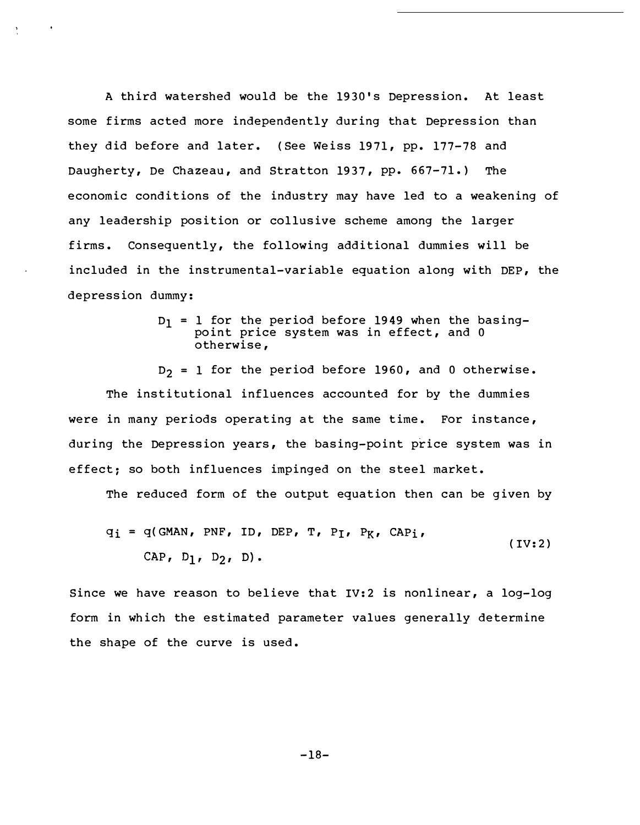A third watershed would be the 19 30's Depression. At least some firms acted more independently during that Depression than they did before and later. (See Weiss 1971, pp. 177-78 and Daugherty, De Chazeau, and Stratton 1937, pp. 667-71.) The economic conditions of the industry may have led to a weakening of any leadership position or collusive scheme among the larger firms. Consequently, the following additional dummies will be included in the instrumental-variable equation along with DEP, the depression dummy:

> $D_1$  = 1 for the period before 1949 when the basingpoint price system was in effect, and 0 otherwise,

 $D_2 = 1$  for the period before 1960, and 0 otherwise. The institutional influences accounted for by the dummies were in many periods operating at the same time. For instance, during the Depression years, the basing-point price system was in effect; so both influences impinged on the steel market.

The reduced form of the output equation then can be given by

$$
q_i = q(GMAN, PNF, ID, DEP, T, P_I, P_K, CAP_i,
$$
  
CAP, D<sub>1</sub>, D<sub>2</sub>, D). (IV:2)

Since we have reason to believe that IV:2 is nonlinear, a log-log form in which the estimated parameter values generally determine the shape of the curve is used.

 $-18-$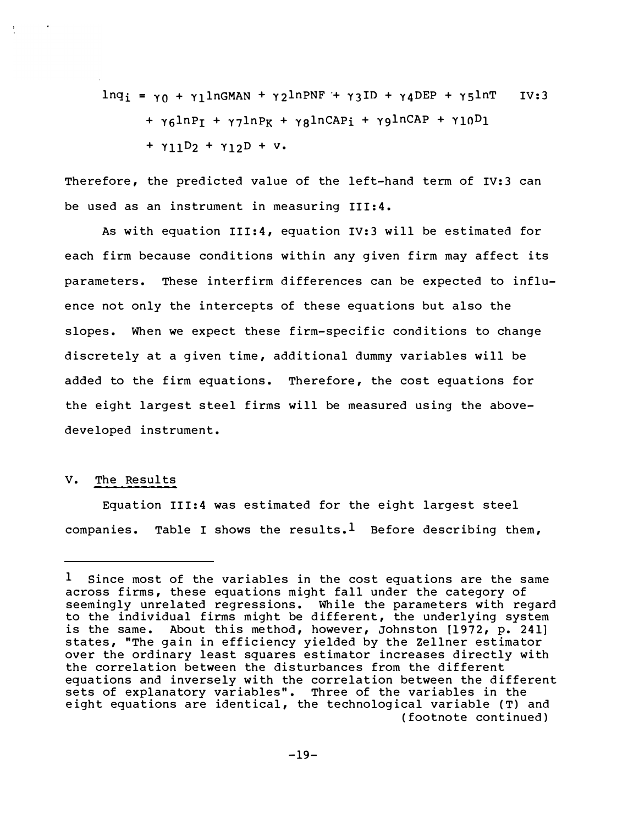$lnq_i = \gamma_0 + \gamma_1 lnGMAN + \gamma_2 lnPNF + \gamma_3 ID + \gamma_4 DEP + \gamma_5 lnT$  IV:3  $+ \gamma_6$ lnP<sub>I</sub> +  $\gamma_7$ lnP<sub>K</sub> +  $\gamma_8$ lnCAP<sub>i</sub> +  $\gamma_9$ lnCAP +  $\gamma_1$ <sub>0</sub>D<sub>1</sub>  $+ \gamma_{11}D_2 + \gamma_{12}D + v.$ 

Therefore, the predicted value of the left-hand term of IV:3 can be used as an instrument in measuring III:4.

As with equation III:4, equation IV:3 will be estimated for each firm because conditions within any given firm may affect its parameters. These interfirm differences can be expected to influence not only the intercepts of these equations but also the slopes. When we expect these firm-specific conditions to change discretely at a given time, additional dummy variables will be added to the firm equations. Therefore, the cost equations for the eight largest steel firms will be measured using the abovedeveloped instrument.

#### v. The Results

Equation III:4 was estimated for the eight largest steel companies. Table I shows the results.<sup>1</sup> Before describing them,

<sup>&</sup>lt;sup>1</sup> Since most of the variables in the cost equations are the same across firms, these equations might fall under the category of seemingly unrelated regressions. While the parameters with regard to the individual firms might be different, the underlying system is the same. About this method, however, Johnston [1972, p. 241] states, "The gain in efficiency yielded by the Zellner estimator over the ordinary least squares estimator increases directly with the correlation between the disturbances from the different equations and inversely with the correlation between the different sets of explanatory variables". Three of the variables in the eight equations are identical, the technological variable (T) and (footnote continued)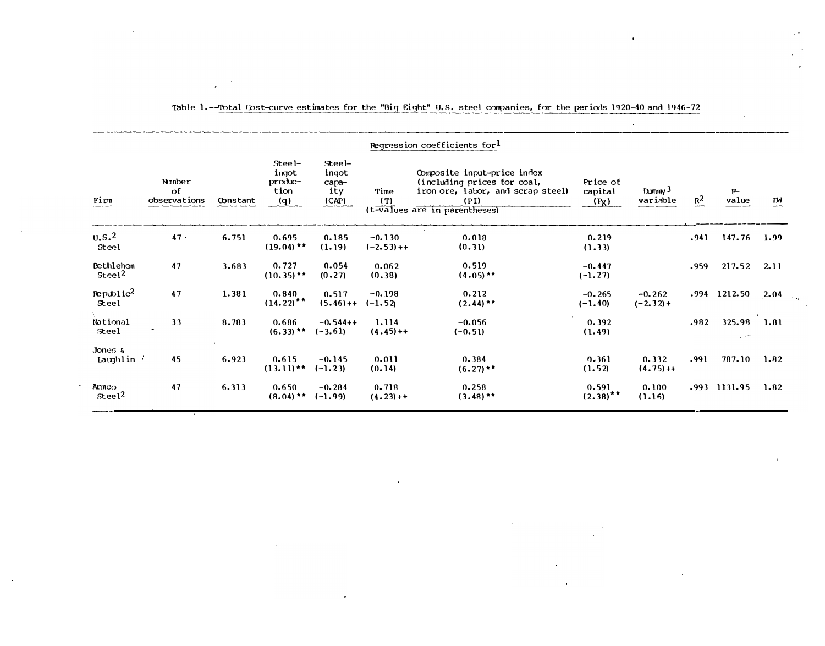| Regression coefficients for <sup>1</sup> |                              |          |                                                               |                                               |                           |                                                                                                                                          |                                |                         |                   |                                 |                |
|------------------------------------------|------------------------------|----------|---------------------------------------------------------------|-----------------------------------------------|---------------------------|------------------------------------------------------------------------------------------------------------------------------------------|--------------------------------|-------------------------|-------------------|---------------------------------|----------------|
| Fim                                      | Number<br>of<br>observations | Oonstant | Stee l-<br>impot<br>$prox$ <b><i>h</i></b> $c$<br>tion<br>(q) | $Steel-$<br>ingot<br>$capa$ -<br>ity<br>(CAP) | Time<br>(T)               | Composite input-price index<br>(including prices for coal,<br>iron ore, labor, and scrap steel)<br>(PI)<br>(t-values are in parentheses) | Price of<br>capital<br>$(P_K)$ | Dummy $3$<br>variable   | $\underline{R^2}$ | $F-$<br>value                   | $\overline{M}$ |
| U.S. <sup>2</sup><br>Steel               | 47.                          | 6.751    | 0.695<br>$(19.04)$ **                                         | 0.185<br>(1.19)                               | $-0.130$<br>$(-2.53) + +$ | 0.018<br>(0.31)                                                                                                                          | 0.219<br>(1.33)                |                         | .941              | $147.76$ 1.99                   |                |
| Bethleham<br>Steel <sup>2</sup>          | 47                           | 3.683    | 0.727<br>$(10.35)$ **                                         | 0.054<br>(0.27)                               | 0.062<br>(0.38)           | 0.519<br>$(4.05)$ **                                                                                                                     | $-0.447$<br>$(-1.27)$          |                         | .959              | 217.52                          | 2.11           |
| $\text{Republic}^2$<br>Steel             | 47                           | 1.381    | 0.840<br>$(14.22)$ **                                         | 0.517<br>$(5.46) + +$                         | $-0.198$<br>$(-1.52)$     | 0.212<br>$(2.44)$ **                                                                                                                     | $-0.265$<br>$(-1.40)$          | $-0.262$<br>$(-2.32) +$ | .994              | 1212.50                         | 2.04           |
| National<br>Steel                        | 33                           | 8.783    | 0.686<br>$(6.33)$ **                                          | $-0.544++$<br>$(-3.61)$                       | 1.114<br>$(4.45) + +$     | $-0.056$<br>$(-0.51)$                                                                                                                    | 0.392<br>(1.49)                |                         | .982              | 325.98 1.81<br>المتعقب وبالمستن |                |
| Jones $\kappa$<br>Laughlin $i$           | 45                           | 6.923    | 0.615<br>$(13.11)$ **                                         | $-0.145$<br>$(-1.23)$                         | 0.011<br>(0.14)           | 0.384<br>$(6.27)$ **                                                                                                                     | 0.361<br>(1.52)                | 0.332<br>$(4.75) +$     | .991              | 787.10                          | 1.82           |
| Armco<br>Stee1 <sup>2</sup>              | 47                           | 6.313    | 0.650<br>$(8.04)$ **                                          | $-0.284$<br>$(-1.99)$                         | 0.718<br>$(4.23) + +$     | 0.258<br>$(3.48)$ **                                                                                                                     | 0.591<br>$(2.38)$ **           | 0.100<br>(1.16)         |                   | $.993$ 1131.95                  | 1.82           |

#### Table 1.--Total Cost-curve estimates for the "Big Eight" U.S. steel companies, for the periorls 1920-40 and 1946-72

 $\overline{\phantom{a}}$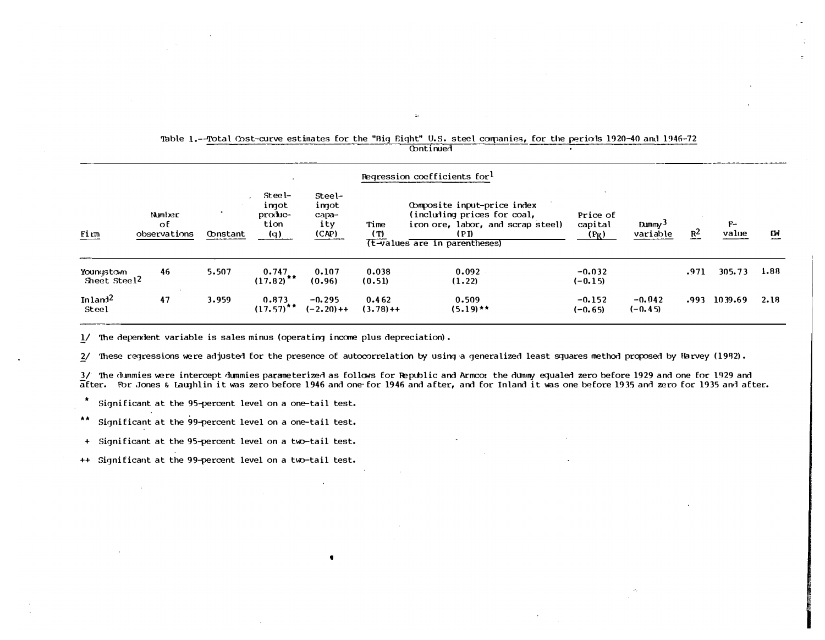| Regression coefficients for <sup>1</sup> |                              |          |                                           |                                          |                       |                                                                                                                                          |                                |                                            |       |               |            |
|------------------------------------------|------------------------------|----------|-------------------------------------------|------------------------------------------|-----------------------|------------------------------------------------------------------------------------------------------------------------------------------|--------------------------------|--------------------------------------------|-------|---------------|------------|
| Firm                                     | Number<br>оE<br>observations | Oonstant | Steel-<br>ingot<br>produc-<br>tion<br>(q) | Steel-<br>ingot<br>capa-<br>ity<br>(CAP) | Time<br>(T)           | Obmposite input-price index<br>(including prices for coal,<br>iron ore, labor, and scrap steel)<br>(PI)<br>(t-values are in parentheses) | Price of<br>capital<br>$(P_K)$ | $D_{\text{Mmmy}}$ <sup>3</sup><br>variable | $R^2$ | $F-$<br>value | ГW<br>---- |
| Youngstown<br>Sheet Steel <sup>2</sup>   | 46                           | 5.507    | 0.747<br>$(17.82)$ <sup>**</sup>          | 0.107<br>(0.96)                          | 0.038<br>(0.51)       | 0.092<br>(1.22)                                                                                                                          | $-0.032$<br>$(-0.15)$          |                                            | .971  | 305.73        | 1.88       |
| In $1$ and $12$<br><b>Steel</b>          | 47                           | 3.959    | 0.873<br>$(17.57)^{**}$                   | $-0.295$<br>$(-2.20) + +$                | 0.462<br>$(3.78) + +$ | 0.509<br>$(5.19)$ **                                                                                                                     | $-0.152$<br>$(-0.65)$          | $-0.042$<br>$(-0.45)$                      | .993  | 1039.69       | 2.18       |

#### · Table 1.--Total Cost-curve estimates for the "Big Eight" U.S. steel companies, for the periods 1920-40 and 1946-72 **Continued**

,.

 $1/$  The dependent variable is sales minus (operating income plus depreciation).

'

2/ These regressions were adjusted for the presence of autocorrelation by using a generalized least squares method proposed by Harvey (1992).

3/ The dummies were intercept dummies parameterized as follows for Republic and Armco: the dumny equaled zero before 1929 and one for 1929 and after. For Jones & Laughlin it was zero before 1946 and one for 1946 and after, and for Inland it was one before 1935 and zero for 1935 and after.

\* Significant at the 95-percent level on a one-tail test.

\*\* Significant at the 99-percent level on a one-tail test.

- + Significant at the 95-percent level on a two-tail test.
- ++ Significant at the 99-percent level on a two-tail test.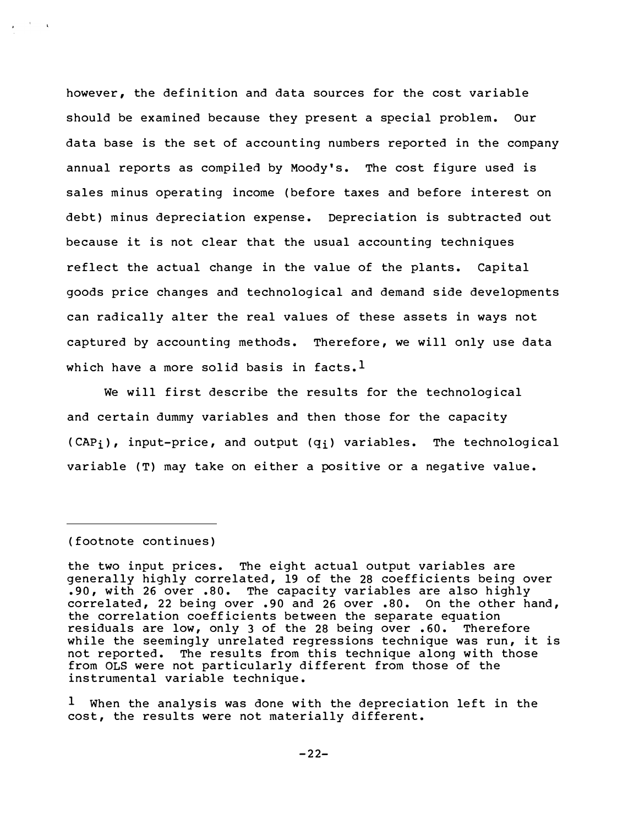however, the definition and data sources for the cost variable should be examined because they present a special problem. our data base is the set of accounting numbers reported in the company annual reports as compiled by Moody's. The cost figure used is sales minus operating income (before taxes and before interest on debt} minus depreciation expense. Depreciation is subtracted out because it is not clear that the usual accounting techniques reflect the actual change in the value of the plants. Capital goods price changes and technological and demand side developments can radically alter the real values of these assets in ways not captured by accounting methods. Therefore, we will only use data which have a more solid basis in facts.<sup>1</sup>

We will first describe the results for the technological and certain dummy variables and then those for the capacity  $(CAP_i)$ , input-price, and output  $(q_i)$  variables. The technological variable (T} may take on either a positive or a negative value.

(footnote continues)

the two input prices. The eight actual output variables are generally highly correlated, 19 of the 28 coefficients being over . 90, with 26 over . 80. The capacity variables are also highly correlated, 22 being over . 90 and 26 over . 80. On the other hand, the correlation coefficients between the separate equation residuals are low, only 3 of the 28 being over .60. Therefore while the seemingly unrelated regressions technique was run, it is not reported. The results from this technique along with those from OLS were not particularly different from those of the instrumental variable technique.

 $1$  When the analysis was done with the depreciation left in the cost, the results were not materially different.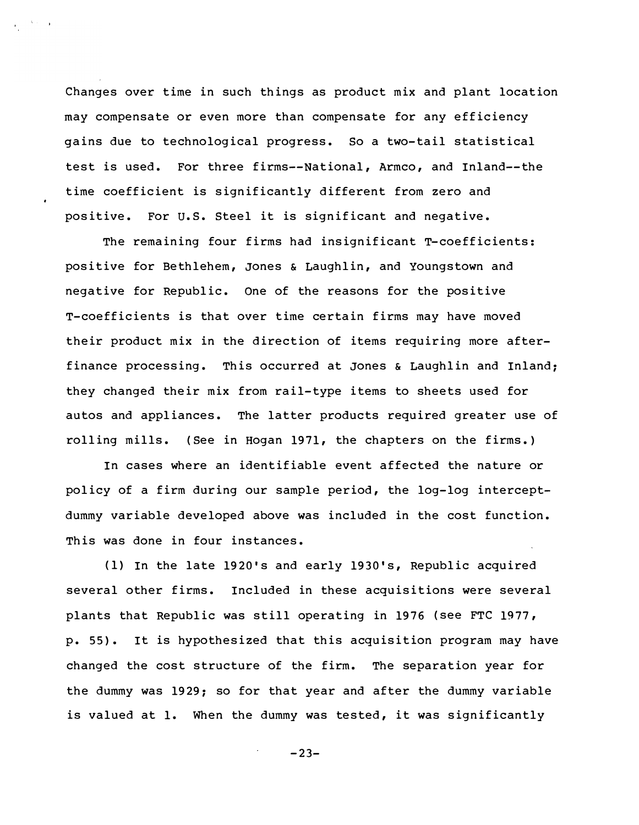Changes over time in such things as product mix and plant location may compensate or even more than compensate for any efficiency gains due to technological progress. So a two-tail statistical test is used. For three firms--National, Armco, and Inland--the time coefficient is significantly different from zero and positive. For u.s. Steel it is significant and negative.

The remaining four firms had insignificant T-coefficients: positive for Bethlehem, Jones & Laughlin, and Youngstown and negative for Republic. One of the reasons for the positive T-coefficients is that over time certain firms may have moved their product mix in the direction of items requiring more afterfinance processing. This occurred at Jones & Laughlin and Inland: they changed their mix from rail-type items to sheets used for autos and appliances. The latter products required greater use of rolling mills. (See in Hogan 1971, the chapters on the firms. }

In cases where an identifiable event affected the nature or policy of a firm during our sample period, the log-log interceptdummy variable developed above was included in the cost function. This was done in four instances.

(1} In the late 1920's and early 19 30's, Republic acquired several other firms. Included in these acquisitions were several plants that Republic was still operating in 1976 (see FTC 1977, p. 55}. It is hy pothesi zed that this acquisition program may have changed the cost structure of the firm. The separation year for the dummy was 1929: so for that year and after the dummy variable is valued at 1. When the dummy was tested, it was significantly

 $-23-$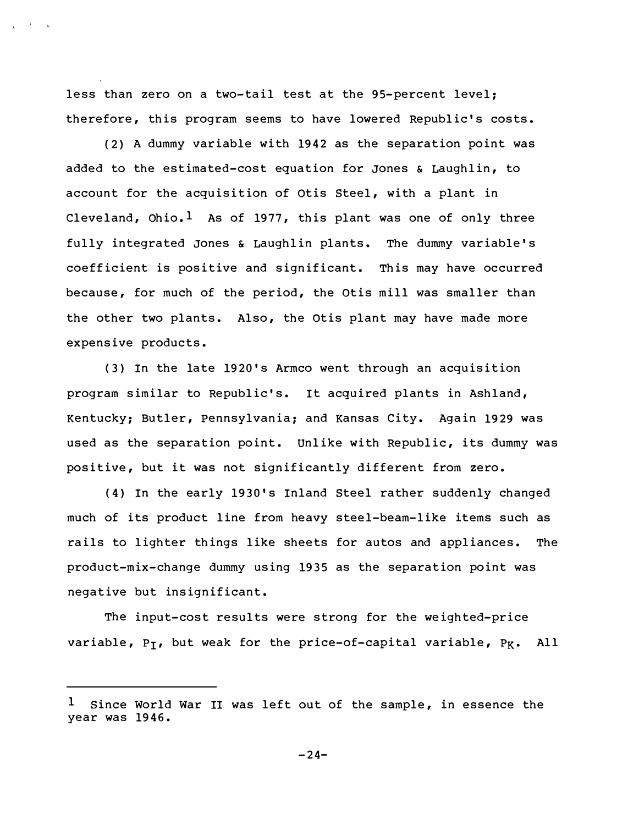less than zero on a two-tail test at the 95-percent level; therefore, this program seems to have lowered Republic's costs.

 $\mathcal{L}^{\text{max}}$  . The set  $\mathcal{L}^{\text{max}}$ 

(2} A dummy variable with 1942 as the separation point was added to the estimated-cost equation for Jones & Laughlin, to account for the acquisition of Otis Steel, with a plant in Cleveland, Ohio.<sup>1</sup> As of 1977, this plant was one of only three fully integrated Jones & Laughlin plants. The dummy variable's coefficient is positive and significant. This may have occurred because, for much of the period, the Otis mill was smaller than the other two plants. Also, the Otis plant may have made more expensive products.

( 3} In the late 1920's Armco went through an acquisition program similar to Republic's. It acquired plants in Ashland, Kentucky; Butler, Pennsylvania; and Kansas City. Again 1929 was used as the separation point. Unlike with Republic, its dummy was positive, but it was not significantly different from zero.

(4) In the early 1930's Inland Steel rather suddenly changed much of its product line from heavy steel-beam-like items such as rails to lighter things like sheets for autos and appliances. The product-mix-change dummy using 19 35 as the separation point was negative but insignificant.

The input-cost results were strong for the weighted-price variable,  $P_T$ , but weak for the price-of-capital variable,  $P_K$ . All

Since World War II was left out of the sample, in essence the year was 1946.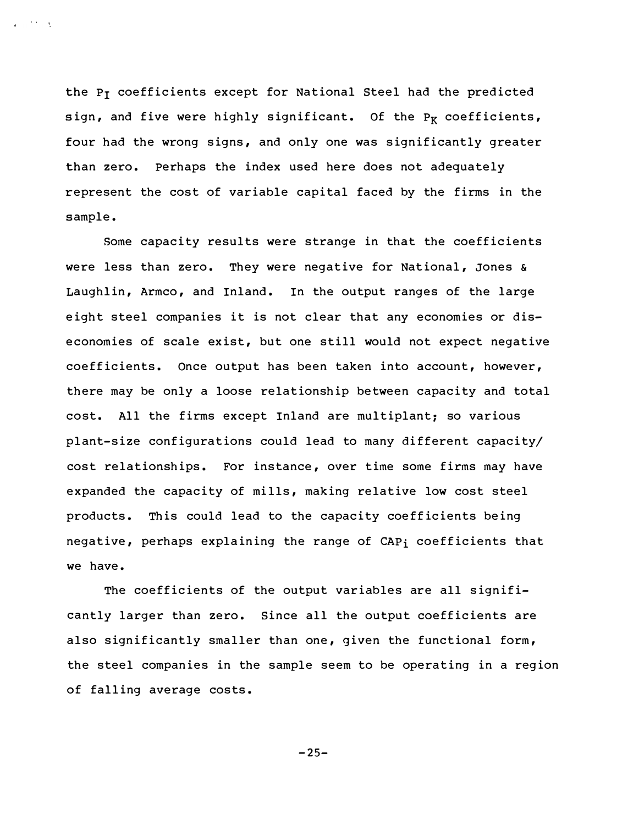the  $P_T$  coefficients except for National Steel had the predicted sign, and five were highly significant. Of the  $P_K$  coefficients, four had the wrong signs, and only one was significantly greater than zero. Perhaps the index used here does not adequately represent the cost of variable capital faced by the firms in the sample.

 $\cdots$ 

Some capacity results were strange in that the coefficients were less than zero. They were negative for National, Jones & Laughlin, Armco, and Inland. In the output ranges of the large eight steel companies it is not clear that any economies or diseconomies of scale exist, but one still would not expect negative coefficients. Once output has been taken into account, however, there may be only a loose relationship between capacity and total cost. All the firms except Inland are multiplant; so various plant-size configurations could lead to many different capacity/ cost relationships. For instance, over time some firms may have expanded the capacity of mills, making relative low cost steel products. This could lead to the capacity coefficients being negative, perhaps explaining the range of CAPi coefficients that we have.

The coefficients of the output variables are all significantly larger than zero. Since all the output coefficients are also significantly smaller than one, given the functional form, the steel companies in the sample seem to be operating in a region of falling average costs.

 $-25-$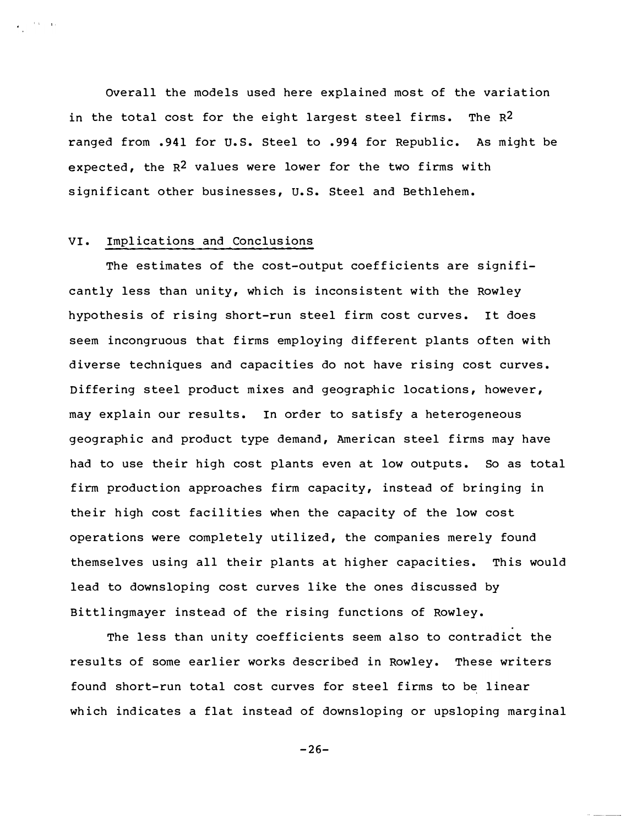overall the models used here explained most of the variation in the total cost for the eight largest steel firms. The  $R^2$ ranged from . 941 for u.s. Steel to . 994 for Republic. As might be expected, the  $R^2$  values were lower for the two firms with significant other businesses, U.S. Steel and Bethlehem.

#### VI. Implications and Conclusions

 $\mathbf{I} = \frac{1}{2} \mathbf{I} \mathbf{I} + \frac{1}{2} \mathbf{I} \mathbf{I}$ 

The estimates of the cost-output coefficients are significantly less than unity, which is inconsistent with the Rowley hypothesis of rising short-run steel firm cost curves. It does seem incongruous that firms employing different plants often with diverse techniques and capacities do not have rising cost curves. Differing steel product mixes and geographic locations, however, may explain our results. In order to satisfy a heterogeneous geographic and product type demand, American steel firms may have had to use their high cost plants even at low outputs. So as total firm production approaches firm capacity, instead of bringing in their high cost facilities when the capacity of the low cost operations were completely utilized, the companies merely found themselves using all their plants at higher capacities. This would lead to downsloping cost curves like the ones discussed by Bittlingmayer instead of the rising functions of Rowley.

The less than unity coefficients seem also to contradict the results of some earlier works described in Rowley. These writers found short-run total cost curves for steel firms to be linear which indicates a flat instead of downsloping or upsloping marginal

 $-26-$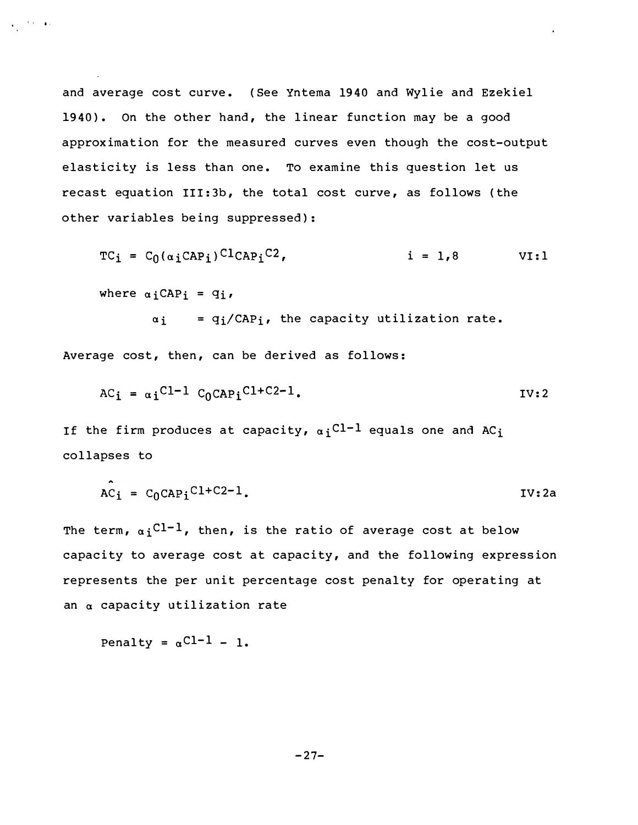and average cost curve. (See Yntema 1940 and Wylie and Ezekiel 1940). On the other hand, the linear function may be a good approximation for the measured curves even though the cost-output elasticity is less than one. To examine this question let us recast equation III:3b, the total cost curve, as follows (the other variables being suppressed):

 $TC_i = C_0(\alpha_i CAP_i)^{C1}CAP_i^C2$ ,  $i = 1,8$  VI:1

where  $\alpha_i$ CAPi =  $q_i$ ,

 $\mathbf{e}^{(\mathbf{e}_1-\mathbf{e}_2)\mathbf{e}_1}$  . It is

 $\alpha_i$  =  $q_i/CAP_i$ , the capacity utilization rate.

Average cost, then, can be derived as follows:

$$
AC_i = \alpha_i C l^{-1} C_0 C A P_i C l + C 2 - 1.
$$

If the firm produces at capacity,  $\alpha_i$ <sup>Cl-1</sup> equals one and AC<sub>i</sub> collapses to

$$
\hat{AC}_i = C_0 \text{CAP}_i^{\text{Cl}+C2-1}.
$$

The term,  $\alpha_i$ <sup>Cl-1</sup>, then, is the ratio of average cost at below capacity to average cost at capacity, and the following expression represents the per unit percentage cost penalty for operating at an  $\alpha$  capacity utilization rate

Penalty = 
$$
\alpha
$$
<sup>Cl-1</sup> - 1.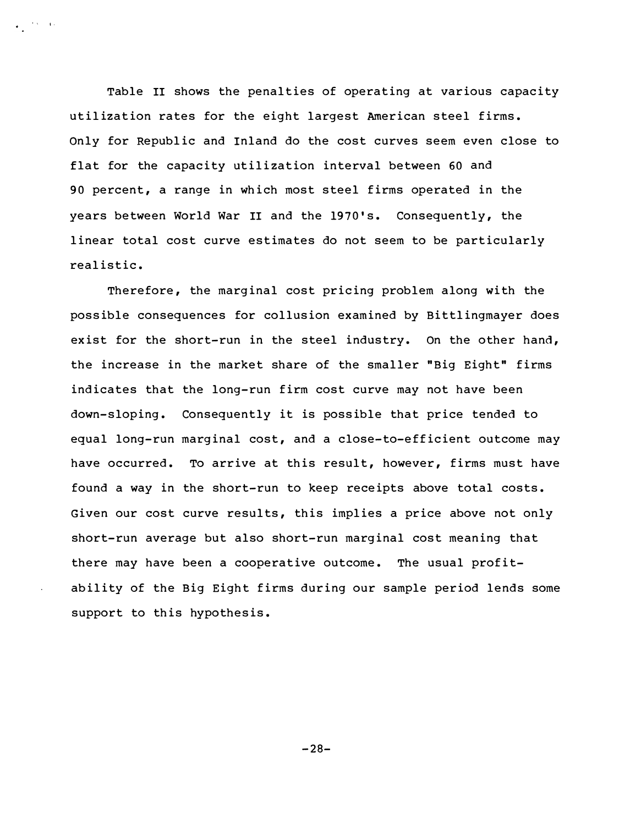Table II shows the penalties of operating at various capacity utilization rates for the eight largest American steel firms. Only for Republic and Inland do the cost curves seem even close to flat for the capacity utilization interval between 60 and 90 percent, a range in which most steel firms operated in the years between World War II and the 1970's. Consequently, the linear total cost curve estimates do not seem to be particularly realistic.

• I I·

Therefore, the marginal cost pricing problem along with the possible consequences for collusion examined by Bittlingmayer does exist for the short-run in the steel industry. On the other hand, the increase in the market share of the smaller "Big Eight" firms indicates that the long-run firm cost curve may not have been down-sloping. Consequently it is possible that price tended to equal long-run marginal cost, and a close-to-efficient outcome may have occurred. To arrive at this result, however, firms must have found a way in the short-run to keep receipts above total costs. Given our cost curve results, this implies a price above not only short-run average but also short-run marginal cost meaning that there may have been a cooperative outcome. The usual profitability of the Big Eight firms during our sample period lends some support to this hypothesis.

 $-28-$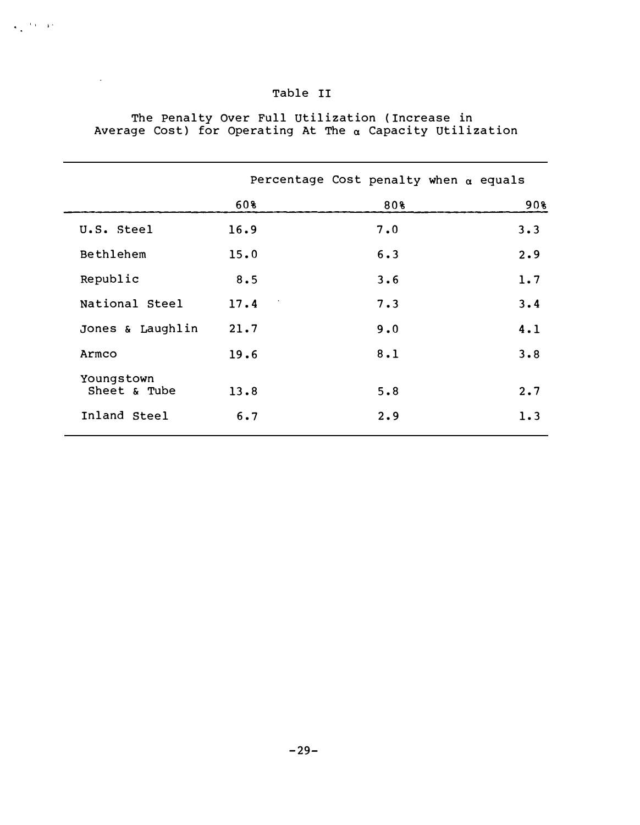|                            |      | Percentage Cost penalty when $\alpha$ equals |     |
|----------------------------|------|----------------------------------------------|-----|
|                            | 60%  | 80%                                          | 90% |
| U.S. Steel                 | 16.9 | 7.0                                          | 3.3 |
| Bethlehem                  | 15.0 | 6.3                                          | 2.9 |
| Republic                   | 8.5  | 3.6                                          | 1.7 |
| National Steel             | 17.4 | 7.3                                          | 3.4 |
| Jones & Laughlin           | 21.7 | 9.0                                          | 4.1 |
| Armco                      | 19.6 | 8.1                                          | 3.8 |
| Youngstown<br>Sheet & Tube | 13.8 | 5.8                                          | 2.7 |
| Inland Steel               | 6.7  | 2.9                                          | 1.3 |

## Table II

 $\frac{1}{2}$  is  $\frac{1}{2}$ 

 $\mathcal{L}^{(1)}$ 

The Penalty over Full Utili zation ( Increase in Average Cost) for Operating At The  $\alpha$  Capacity Utilization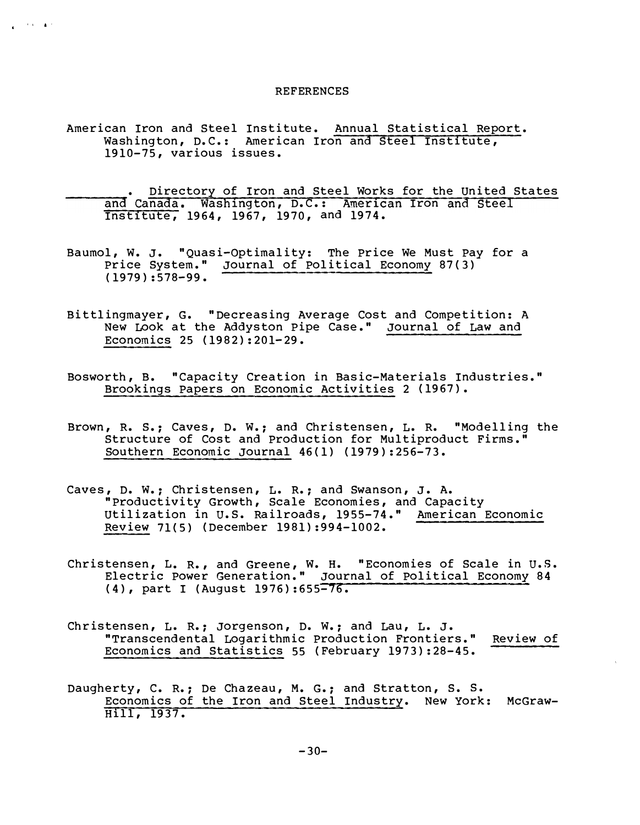#### **REFERENCES**

American Iron and Steel Institute. Annual Statistical Report. Washington, D.C.: American Iron and Steel Institute, 1910-75, various issues.

j j ••

- and Canada. Washington, D.C.: American Iron and Steel • Directory of Iron and Steel Works for the United States Inst1tute, 1964, 1967, 1970, and 1974.
- Baumol, W. J. "Quasi-Optimality: The Price We Must Pay for a Price System." Journal of Political Economy 87(3) (1979) :578-99.
- Bittlingmayer, G. "Decreasing Average Cost and Competition: A New Look at the Addyston Pipe Case. " Journal of Law and Economics 25 {1982):201-29.
- Bosworth, B. "Capacity Creation in Basic-Materials Industries. " Brookings Papers on Economic Activities 2 {1967).
- Brown, R. S.; Caves, D. W.; and Christensen, L. R. "Modelling the Structure of Cost and Production for Multiproduct Firms. " Southern Economic Journal 46(1) (1979):256-73.
- Caves, D. W.; Christensen, L. R.; and Swanson, J. A. "Productivity Growth, Scale Economies, and Capacity Utilization in U.S. Railroads, 1955-74." American Economic Review 71(5) (December 1981):994-1002.
- Christensen, L. R., and Greene, W. H. "Economies of Scale in U.S. Electric Power Generation. " Journal of Political Economy 84 {4), part I (August 1976):655-76.
- Christensen, L. R.; Jorgenson, D. W.; and Lau, L. J. "Transcendental Logarithmic Production Frontiers. " Review of Economics and Statistics 55 (February 1973):28-45.
- Daugherty, C. R.; De Chazeau, M. G.; and Stratton, S. S. Economics of the Iron and Steel Industry. New York: McGraw-Hill, 1937.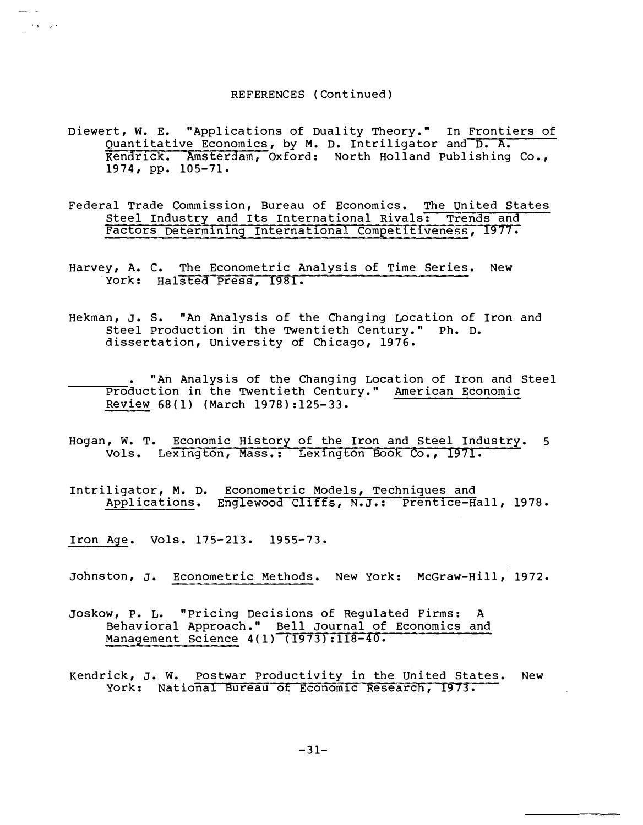#### REFERENCES ( Continued)

- Kendrick. Amsterdam, Oxford: North Holland Publishing Co. , Diewert, w. E. "Applications of Duality Theory. " In Frontiers of Quantitative Economics, by M. D. Intriligator and D. A. 1974, pp. 105-71 .
- Steel Industry and Its International Rivals: Trends and Factors Determining International Competitiveness, 1977. Federal Trade Commission, Bureau of Economics. The United States
- York: Halsted Press, 1981. Harvey, A. C. The Econometric Analysis of Time Series. New
- Hekman, J. s. "An Analysis of the Changing Location of Iron and Steel Production in the TWentieth Century. " Ph. D. dissertation, University of Chicago, 1976 .
- "An Analysis of the Changing LOcation of Iron and Steel Production in the TWentieth Century. " American Economic Review 68 (1) (March 1978):125- 33 .
- Vols. Lexington, Mass.: Lexington Book Co., 1971. Hogan, W. T. Economic History of the Iron and Steel Industry. 5
- Applications. Englewood Cliffs, N.J.: Prentice-Hall, 1978. Intriligator, M. D. Econometric Models, Techniques and
- Iron Age. Vols. 175-213. 1955-73.

 $\lambda$  and  $\lambda$ 

- Johnston, J. Econometric Methods. New York: McGraw-Hill, 1972 .
- Joskow, P. L. "Pricing Decisions of Regulated Firms: A Behavioral Approach." Bell Journal of Economics and Management Science 4(1) (1973):118-40.
- York: National Bureau of Economic Research, 1973. Kendrick, J. W. Postwar Productivity in the United States. New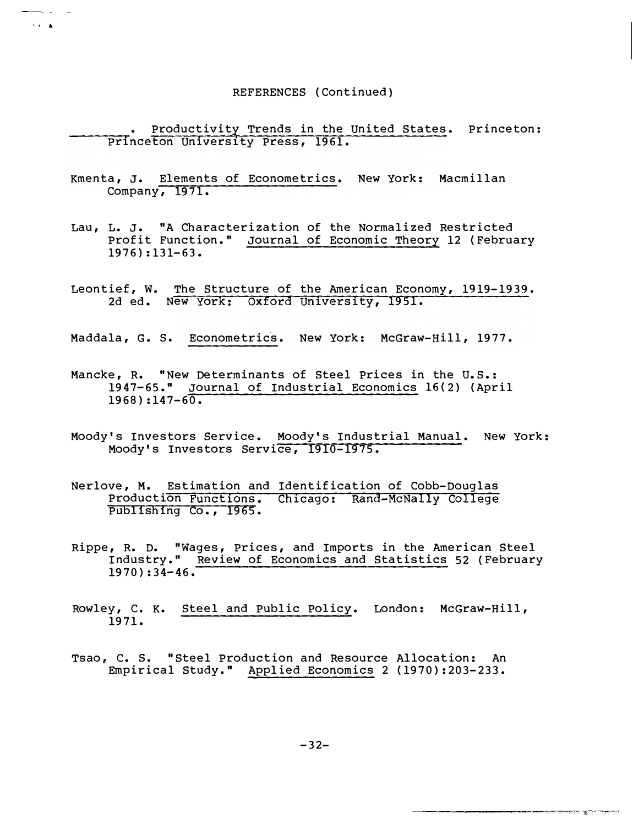#### REFERENCES (Continued)

Princeton University Press, 1961. • Productivity Trends in the United States. Princeton:

Company**,** 1971**.** Kmenta, J. Elements of Econometrics. New York: Macmillan

' . .

المواريد

- Lau, L. J. "A Characterization of the Normalized Restricted Profit Function. " Journal of Economic Theory 12 {February  $1976$ ):131-63.
- 2d ed. New York: Oxford University, 1951. Leontief, W. The Structure of the American Economy, 1919-1939.

Maddala, G. S. Econometrics. New York: McGraw-Hill, 1977.

- Mancke, R. "New Determinants of Steel Prices in the U.S.: 1947-65. " Journal of Industrial Economics 16 {2) {April  $1968$ ):147-60.
- Moody's Investors Service. Moody's Industrial Manual. New York: Moody's Investors Service, 1910-1975.
- Production Functions. Chicago: Rand-McNally College Nerlove, M. Estimation and Identification of Cobb-Douglas Publishing Co., 1965.
- Rippe, R. D. "Wages, Prices, and Imports in the American Steel Industry. " Review of Economics and Statistics 52 {February  $1970$ ): 34-46.
- Rowley, c. K. Steel and Public Policy. London: Mc Graw-Hill, 1971.
- Tsao, c. s. "Steel Production and Resource Allocation: An Empirical Study." Applied Economics 2 (1970):203-233.

 $-32-$ 

**STERN TOWER**